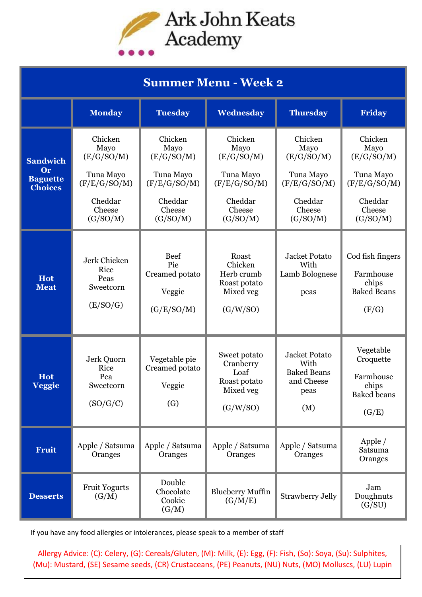

| <b>Summer Menu - Week 2</b>                                |                                                                                             |                                                                                             |                                                                                             |                                                                                             |                                                                                             |  |  |  |
|------------------------------------------------------------|---------------------------------------------------------------------------------------------|---------------------------------------------------------------------------------------------|---------------------------------------------------------------------------------------------|---------------------------------------------------------------------------------------------|---------------------------------------------------------------------------------------------|--|--|--|
|                                                            | <b>Monday</b>                                                                               | <b>Tuesday</b>                                                                              | Wednesday                                                                                   | <b>Thursday</b>                                                                             | <b>Friday</b>                                                                               |  |  |  |
| <b>Sandwich</b><br>Or<br><b>Baguette</b><br><b>Choices</b> | Chicken<br>Mayo<br>(E/G/SO/M)<br>Tuna Mayo<br>(F/E/G/SO/M)<br>Cheddar<br>Cheese<br>(G/SO/M) | Chicken<br>Mayo<br>(E/G/SO/M)<br>Tuna Mayo<br>(F/E/G/SO/M)<br>Cheddar<br>Cheese<br>(G/SO/M) | Chicken<br>Mayo<br>(E/G/SO/M)<br>Tuna Mayo<br>(F/E/G/SO/M)<br>Cheddar<br>Cheese<br>(G/SO/M) | Chicken<br>Mayo<br>(E/G/SO/M)<br>Tuna Mayo<br>(F/E/G/SO/M)<br>Cheddar<br>Cheese<br>(G/SO/M) | Chicken<br>Mayo<br>(E/G/SO/M)<br>Tuna Mayo<br>(F/E/G/SO/M)<br>Cheddar<br>Cheese<br>(G/SO/M) |  |  |  |
| <b>Hot</b><br><b>Meat</b>                                  | Jerk Chicken<br>Rice<br>Peas<br>Sweetcorn<br>(E/SO/G)                                       | <b>Beef</b><br>Pie<br>Creamed potato<br>Veggie<br>(G/E/SO/M)                                | Roast<br>Chicken<br>Herb crumb<br>Roast potato<br>Mixed veg<br>(G/W/SO)                     | Jacket Potato<br>With<br>Lamb Bolognese<br>peas                                             | Cod fish fingers<br>Farmhouse<br>chips<br><b>Baked Beans</b><br>(F/G)                       |  |  |  |
| <b>Hot</b><br>Veggie                                       | Jerk Quorn<br>Rice<br>Pea<br>Sweetcorn<br>(SO/G/C)                                          | Vegetable pie<br>Creamed potato<br>Veggie<br>$\left( G\right)$                              | Sweet potato<br>Cranberry<br>Loaf<br>Roast potato<br>Mixed veg<br>(G/W/SO)                  | Jacket Potato<br>With<br><b>Baked Beans</b><br>and Cheese<br>peas<br>(M)                    | Vegetable<br>Croquette<br>Farmhouse<br>chips<br><b>Baked</b> beans<br>(G/E)                 |  |  |  |
| <b>Fruit</b>                                               | Apple / Satsuma<br>Oranges                                                                  | Apple / Satsuma<br>Oranges                                                                  | Apple / Satsuma<br>Oranges                                                                  | Apple / Satsuma<br>Oranges                                                                  | Apple $/$<br>Satsuma<br>Oranges                                                             |  |  |  |
| <b>Desserts</b>                                            | <b>Fruit Yogurts</b><br>(G/M)                                                               | Double<br>Chocolate<br>Cookie<br>(G/M)                                                      | <b>Blueberry Muffin</b><br>(G/M/E)                                                          | <b>Strawberry Jelly</b>                                                                     | Jam<br>Doughnuts<br>(G/SU)                                                                  |  |  |  |

If you have any food allergies or intolerances, please speak to a member of staff

Allergy Advice: (C): Celery, (G): Cereals/Gluten, (M): Milk, (E): Egg, (F): Fish, (So): Soya, (Su): Sulphites, (Mu): Mustard, (SE) Sesame seeds, (CR) Crustaceans, (PE) Peanuts, (NU) Nuts, (MO) Molluscs, (LU) Lupin